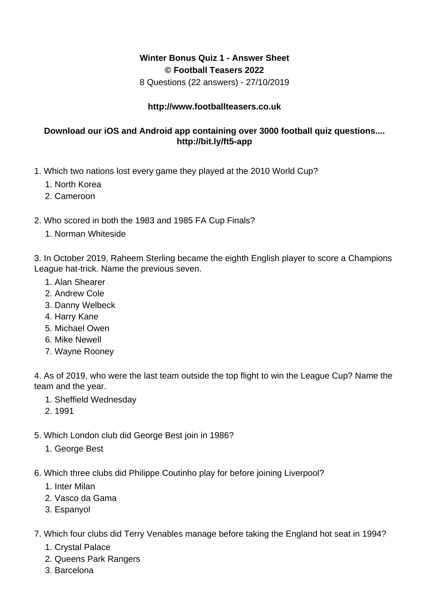## **Winter Bonus Quiz 1 - Answer Sheet © Football Teasers 2022**

8 Questions (22 answers) - 27/10/2019

## **http://www.footballteasers.co.uk**

## **Download our iOS and Android app containing over 3000 football quiz questions.... http://bit.ly/ft5-app**

- 1. Which two nations lost every game they played at the 2010 World Cup?
	- 1. North Korea
	- 2. Cameroon
- 2. Who scored in both the 1983 and 1985 FA Cup Finals?
	- 1. Norman Whiteside

3. In October 2019, Raheem Sterling became the eighth English player to score a Champions League hat-trick. Name the previous seven.

- 1. Alan Shearer
- 2. Andrew Cole
- 3. Danny Welbeck
- 4. Harry Kane
- 5. Michael Owen
- 6. Mike Newell
- 7. Wayne Rooney

4. As of 2019, who were the last team outside the top flight to win the League Cup? Name the team and the year.

- 1. Sheffield Wednesday
- 2. 1991
- 5. Which London club did George Best join in 1986?
	- 1. George Best
- 6. Which three clubs did Philippe Coutinho play for before joining Liverpool?
	- 1. Inter Milan
	- 2. Vasco da Gama
	- 3. Espanyol
- 7. Which four clubs did Terry Venables manage before taking the England hot seat in 1994?
	- 1. Crystal Palace
	- 2. Queens Park Rangers
	- 3. Barcelona